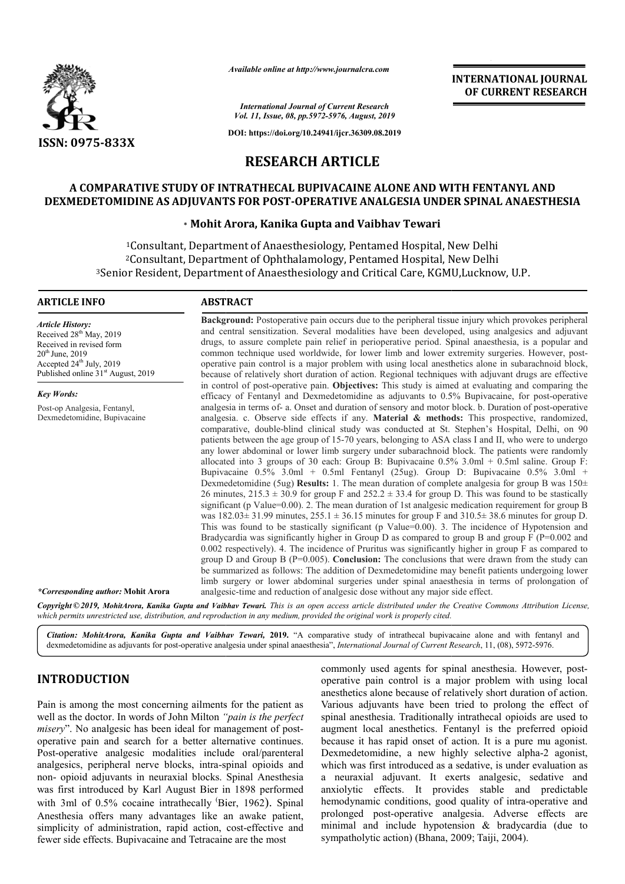

*Available online at http://www.journalcra.com*

**INTERNATIONAL JOURNAL OF CURRENT RESEARCH**

*International Journal of Current Research Vol. 11, Issue, 08, pp.5972-5976, August, 2019*

**DOI: https://doi.org/10.24941/ijcr.36309.08.2019**

# **RESEARCH ARTICLE**

## **A COMPARATIVE STUDY OF INTRATHECAL BUPIVACAINE ALONE AND WITH FENTANYL AND**  A COMPARATIVE STUDY OF INTRATHECAL BUPIVACAINE ALONE AND WITH FENTANYL AND<br>DEXMEDETOMIDINE AS ADJUVANTS FOR POST-OPERATIVE ANALGESIA UNDER SPINAL ANAESTHESIA

## **\* Mohit Arora, Kanika Gupta and Vaibhav Tewari**

<sup>1</sup>Consultant, Department of Anaesthesiology, Pentamed Hospital, New Delhi <sup>1</sup>Consultant, Department of Anaesthesiology, Pentamed Hospital, New Delhi<br><sup>2</sup>Consultant, Department of Ophthalamology, Pentamed Hospital, New Delhi <sup>3</sup>Senior Resident, Department of Anaesthesiology and Critical Care, KGMU,Lucknow, U.P.

> **Background:** Postoperative pain occurs due to the peripheral tissue injury which provokes peripheral and central sensitization. Several modalities have been developed, using analgesics and adjuvant drugs, to assure complete pain relief in perioperative period. Spinal anaesthesia, is a popular and common technique used worldwide, for lower limb and lower extremity surgeries. However, postoperative pain control is a major problem with using local anesthetics alone in subarachnoid block, because of relatively short duration of action. Regional techniques with adjuvant drugs are effective

> **Background:** Postoperative pain occurs due to the peripheral tissue injury which provokes peripheral and central sensitization. Several modalities have been developed, using analgesics and adjuvant drugs, to assure comple

efficacy of Fentanyl and Dexmedetomidine as adjuvants to 0.5% Bupivacaine, for post-operative analgesia in terms of- a. Onset and duration of sensory and motor block. b. Duration of post-operative analgesia. c. Observe side effects if any. **Material & methods:** This prospective, randomized, comparative, double-blind clinical study was conducted at St. Stephen's Hospital, Delhi, on 90 patients between the age group of 15 15-70 years, belonging to ASA class I and II, who were to undergo any lower abdominal or lower l limb surgery under subarachnoid block. The patients were randomly allocated into 3 groups of 30 each: Group B: Bupivacaine  $0.5\%$  3.0ml + 0.5ml saline. Group F: Bupivacaine 0.5% 3.0ml + 0.5ml Fentanyl (25ug). Group D: Bupivacaine 0.5% 3.0ml + Dexmedetomidine (5ug) **Results:** 1. The mean duration of complete analgesia for group B was 150± 26 minutes,  $215.3 \pm 30.9$  for group F and  $252.2 \pm 33.4$  for group D. This was found to be stastically

operative pain control is a major problem with using local anesthetics alone in subarachnoid block, because of relatively short duration of action. Regional techniques with adjuvant drugs are effective in control of post-o

was  $182.03 \pm 31.99$  minutes,  $255.1 \pm 36.15$  minutes for group F and  $310.5 \pm 38.6$  minutes for group D. This was found to be stastically significant (p Value=0.00). 3. The incidence of Hypotension and was  $182.03 \pm 31.99$  minutes,  $255.1 \pm 36.15$  minutes for group F and  $310.5 \pm 38.6$  minutes for group D.<br>This was found to be stastically significant (p Value=0.00). 3. The incidence of Hypotension and Bradycardia was si 0.002 respectively). 4. The incidence of Pruritus was significantly higher in group F as compared to group D and Group B (P=0.005). **Conclusion:** The conclusions that were drawn from the study can be summarized as follows: The addition of Dexmedetomidine may benefit patients undergoing lower limb surgery or lower abdominal surgeries under spinal anaesthesia in terms of prolongation of

0.002 respectively). 4. The incidence of Pruritus was significantly higher in group F as compared to group D and Group B (P=0.005). **Conclusion:** The conclusions that were drawn from the study can be summarized as follows

comparative, double-blind clinical study was conducted at St. Stephen's Hospital, Delhi, on 90 patients between the age group of 15-70 years, belonging to ASA class I and II, who were to undergo any lower abdominal or low

in control of post-operative pain. **Objectives:** This study is aimed at evaluating

significant (p Value=0.00). 2. The mean duration of 1st analgesic medication

#### **ARTICLE INFO ABSTRACT**

*Article History:* Received 28<sup>th</sup> May, 2019 Received in revised form 20<sup>th</sup> June, 2019 Accepted 24<sup>th</sup> July, 2019 Published online 31<sup>st</sup> August, 2019

*Key Words:* Post-op Analgesia, Fentanyl,

Dexmedetomidine, Bupivacaine

*\*Corresponding author:* **Mohit Arora**

Copyright © 2019, MohitArora, Kanika Gupta and Vaibhav Tewari. This is an open access article distributed under the Creative Commons Attribution License, which permits unrestricted use, distribution, and reproduction in any medium, provided the original work is properly cited.

analgesic analgesic-time and reduction of analgesic dose without any major si

Citation: MohitArora, Kanika Gupta and Vaibhav Tewari, 2019. "A comparative study of intrathecal bupivacaine alone and with fentanyl and dexmedetomidine as adjuvants for post-operative analgesia under spinal anaesthesia", *International Journal of Current Research*, 11, (08), 5972-5976.

# **INTRODUCTION**

Pain is among the most concerning ailments for the patient as well as the doctor. In words of John Milton *"pain is the perfect*  misery". No analgesic has been ideal for management of postoperative pain and search for a better alternative continues. Post-operative analgesic modalities include oral/parenteral analgesics, peripheral nerve blocks, intra-spinal opioids and non- opioid adjuvants in neuraxial blocks. was first introduced by Karl August Bier in 1898 performed with 3ml of 0.5% cocaine intrathecally 'Bier, 1962). Spinal Anesthesia offers many advantages like an awake patient, simplicity of administration, rapid action, cost-effective and fewer side effects. Bupivacaine and Tetracaine are the most operative analgesic modalities include oral/parenteral<br>gesics, peripheral nerve blocks, intra-spinal opioids and<br>opioid adjuvants in neuraxial blocks. Spinal Anesthesia

commonly used agents for spinal anesthesia. However, postoperative pain control is a major problem with using local operative pain control is a major problem with using local anesthetics alone because of relatively short duration of action. Various adjuvants have been tried to prolong the effect of spinal anesthesia. Traditionally intrathecal opioids are used to augment local anesthetics. Fentanyl is the preferred opioid because it has rapid onset of action. It is a pure mu agonist. Dexmedetomidine, a new highly selective alpha-2 agonist, which was first introduced as a sedative, is under evaluation as a neuraxial adjuvant. It exerts analgesic, sedative and anxiolytic effects. It provides stable and predictabl hemodynamic conditions, good quality of intra-operative and prolonged post-operative analgesia. Adverse effects are minimal and include hypotension & bradycardia (due to minimal and include hypotension & bradycardia (due to sympatholytic action) (Bhana, 2009; Taiji, 2004). s adjuvants have been tried to prolong the effect of anesthesia. Traditionally intrathecal opioids are used to nt local anesthetics. Fentanyl is the preferred opioid e it has rapid onset of action. It is a pure mu agonist. ich was first introduced as a sedative, is under evaluation as neuraxial adjuvant. It exerts analgesic, sedative and individually effects. It provides stable and predictable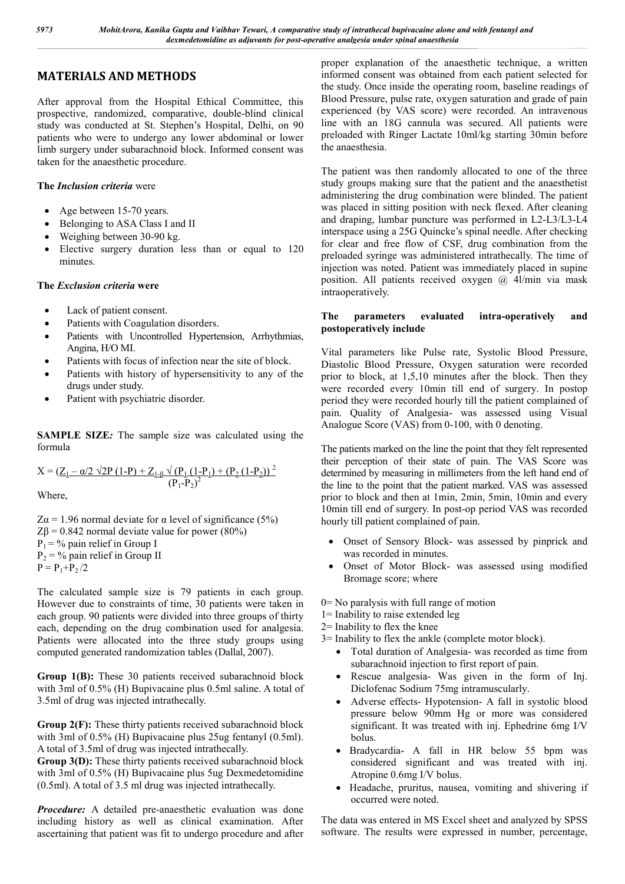# **MATERIALS AND METHODS**

After approval from the Hospital Ethical Committee, this prospective, randomized, comparative, double-blind clinical study was conducted at St. Stephen's Hospital, Delhi, on 90 patients who were to undergo any lower abdominal or lower limb surgery under subarachnoid block. Informed consent was taken for the anaesthetic procedure.

## **The** *Inclusion criteria* were

- Age between 15-70 years.
- Belonging to ASA Class I and II
- Weighing between 30-90 kg.
- Elective surgery duration less than or equal to 120 minutes.

## **The** *Exclusion criteria* **were**

- Lack of patient consent.
- Patients with Coagulation disorders.
- Patients with Uncontrolled Hypertension, Arrhythmias, Angina, H/O MI.
- Patients with focus of infection near the site of block.
- Patients with history of hypersensitivity to any of the drugs under study.
- Patient with psychiatric disorder.

**SAMPLE SIZE***:* The sample size was calculated using the formula

$$
X = (\underline{Z_1 - \alpha/2 \sqrt{2P (1-P)} + Z_{1-P} \sqrt{(P_1 (1-P_1) + (P_2 (1-P_2)))^2}}{(P_1 - P_2)^2})
$$

Where,

Z $\alpha$  = 1.96 normal deviate for  $\alpha$  level of significance (5%) Zβ = 0.842 normal deviate value for power (80%)  $P_1$  = % pain relief in Group I  $P_2$  = % pain relief in Group II  $P = P_1 + P_2/2$ 

The calculated sample size is 79 patients in each group. However due to constraints of time, 30 patients were taken in each group. 90 patients were divided into three groups of thirty each, depending on the drug combination used for analgesia. Patients were allocated into the three study groups using computed generated randomization tables (Dallal, 2007).

**Group 1(B):** These 30 patients received subarachnoid block with 3ml of 0.5% (H) Bupivacaine plus 0.5ml saline. A total of 3.5ml of drug was injected intrathecally.

**Group 2(F):** These thirty patients received subarachnoid block with 3ml of 0.5% (H) Bupivacaine plus 25ug fentanyl (0.5ml). A total of 3.5ml of drug was injected intrathecally.

**Group 3(D):** These thirty patients received subarachnoid block with 3ml of 0.5% (H) Bupivacaine plus 5ug Dexmedetomidine (0.5ml). A total of 3.5 ml drug was injected intrathecally.

*Procedure:* A detailed pre-anaesthetic evaluation was done including history as well as clinical examination. After ascertaining that patient was fit to undergo procedure and after

proper explanation of the anaesthetic technique, a written informed consent was obtained from each patient selected for the study. Once inside the operating room, baseline readings of Blood Pressure, pulse rate, oxygen saturation and grade of pain experienced (by VAS score) were recorded. An intravenous line with an 18G cannula was secured. All patients were preloaded with Ringer Lactate 10ml/kg starting 30min before the anaesthesia.

The patient was then randomly allocated to one of the three study groups making sure that the patient and the anaesthetist administering the drug combination were blinded. The patient was placed in sitting position with neck flexed. After cleaning and draping, lumbar puncture was performed in L2-L3/L3-L4 interspace using a 25G Quincke's spinal needle. After checking for clear and free flow of CSF, drug combination from the preloaded syringe was administered intrathecally. The time of injection was noted. Patient was immediately placed in supine position. All patients received oxygen  $(a)$  4l/min via mask intraoperatively.

## **The parameters evaluated intra-operatively and postoperatively include**

Vital parameters like Pulse rate, Systolic Blood Pressure, Diastolic Blood Pressure, Oxygen saturation were recorded prior to block, at 1,5,10 minutes after the block. Then they were recorded every 10min till end of surgery. In postop period they were recorded hourly till the patient complained of pain. Quality of Analgesia- was assessed using Visual Analogue Score (VAS) from 0-100, with 0 denoting.

The patients marked on the line the point that they felt represented their perception of their state of pain. The VAS Score was determined by measuring in millimeters from the left hand end of the line to the point that the patient marked. VAS was assessed prior to block and then at 1min, 2min, 5min, 10min and every 10min till end of surgery. In post-op period VAS was recorded hourly till patient complained of pain.

- Onset of Sensory Block- was assessed by pinprick and was recorded in minutes.
- Onset of Motor Block- was assessed using modified Bromage score; where

0= No paralysis with full range of motion

- 1= Inability to raise extended leg
- 2= Inability to flex the knee
- 3= Inability to flex the ankle (complete motor block).
	- Total duration of Analgesia- was recorded as time from subarachnoid injection to first report of pain.
	- Rescue analgesia- Was given in the form of Inj. Diclofenac Sodium 75mg intramuscularly.
	- Adverse effects- Hypotension- A fall in systolic blood pressure below 90mm Hg or more was considered significant. It was treated with inj. Ephedrine 6mg I/V bolus.
	- Bradycardia- A fall in HR below 55 bpm was considered significant and was treated with inj. Atropine 0.6mg I/V bolus.
	- Headache, pruritus, nausea, vomiting and shivering if occurred were noted.

The data was entered in MS Excel sheet and analyzed by SPSS software. The results were expressed in number, percentage,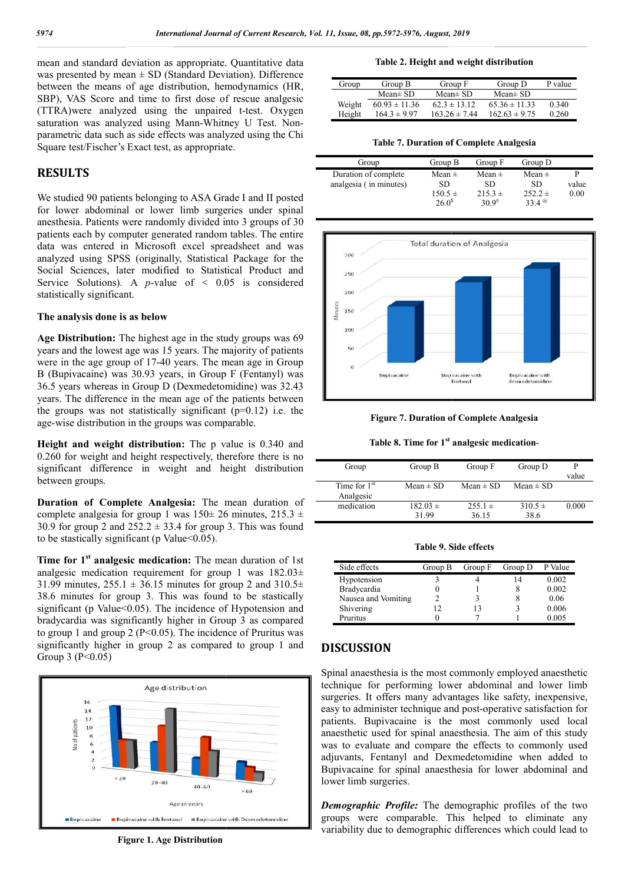mean and standard deviation as appropriate. Quantitative data was presented by mean  $\pm$  SD (Standard Deviation). Difference between the means of age distribution, hemodynamics (HR, SBP), VAS Score and time to first dose of rescue analgesic (TTRA)were analyzed using the unpaired t-test. Oxygen saturation was analyzed using Mann-Whitney U Test. Nonparametric data such as side effects was analyzed using the Chi Square test/Fischer's Exact test, as appropriate.

# **RESULTS**

We studied 90 patients belonging to ASA Grade I and II posted for lower abdominal or lower limb surgeries under spinal anesthesia. Patients were randomly divided into 3 groups of 30 patients each by computer generated random tables. The entire data was entered in Microsoft excel spreadsheet and was analyzed using SPSS (originally, Statistical Package for the Social Sciences, later modified to Statistical Product and Service Solutions). A *p*-value of  $\leq$  0.05 is considered statistically significant. ametric data such as side effects was analyzed using the Chi<br>are test/Fischer's Exact test, as appropriate.<br> **SULTS**<br>
studied 90 patients belonging to ASA Grade I and II posted<br>
lower abdominal or lower limb surgeries und

#### **The analysis done is as below**

**Age Distribution:** The highest age in the study groups was 69 years and the lowest age was 15 years. The majority of patients were in the age group of 17-40 years. The mean age in Group B (Bupivacaine) was 30.93 years, in Group F (Fentanyl) was 36.5 years whereas in Group D (Dexmedetomidine) was 32.43 years. The difference in the mean age of the patients between 36.5 years whereas in Group D (Dexmedetomidine) was 32.43 years. The difference in the mean age of the patients between the groups was not statistically significant  $(p=0.12)$  i.e. the age-wise distribution in the groups was comparable.

**Height and weight distribution:** The p value is 0.340 and 0.260 for weight and height respectively, therefore there is no significant difference in weight and height distribution between groups.

**Duration of Complete Analgesia:** The mean duration of complete analgesia for group 1 was  $150 \pm 26$  minutes,  $215.3 \pm 16$ 30.9 for group 2 and  $252.2 \pm 33.4$  for group 3. This was found to be stastically significant (p Value $<0.05$ ).

**Time for 1st analgesic medication:** The mean duration of 1st analgesic medication requirement for group 1 was 182.03± 31.99 minutes,  $255.1 \pm 36.15$  minutes for group 2 and  $310.5 \pm$ 38.6 minutes for group 3. This was found to be stastically significant (p Value<0.05). The incidence of Hypotension and bradycardia was significantly higher in Group 3 as compared to group 1 and group 2 ( $P \le 0.05$ ). The incidence of Pruritus was significantly higher in group 2 as compared to group 1 and Group 3 ( $P < 0.05$ )



**Figure 1. Age Distribution**

#### **Table**

| Group  | Group B           | Group F           | Group D           | P value |
|--------|-------------------|-------------------|-------------------|---------|
|        | $Mean \pm SD$     | Mean $\pm$ SD     | Mean $\pm$ SD     |         |
| Weight | $60.93 \pm 11.36$ | $62.3 \pm 13.12$  | $65.36 \pm 11.33$ | 0.340   |
| Height | $164.3 \pm 9.97$  | $163.26 \pm 7.44$ | $162.63 \pm 9.75$ | 0.260   |

**Table 7. Duration of Complete Analgesia**

| Group                  | Group B     | Group F     | Group D     |       |
|------------------------|-------------|-------------|-------------|-------|
| Duration of complete   | Mean $\pm$  | Mean $\pm$  | Mean $\pm$  |       |
| analgesia (in minutes) | SD          | <b>SD</b>   | SD.         | value |
|                        | $150.5 \pm$ | $215.3 \pm$ | $252.2 \pm$ | 0.00  |
|                        | $26.0^{s}$  | $30.9^{#}$  | 334 $@$     |       |



**Figure 7. Duration of Complete Analgesia**

Figure 7. Duration of Complete Analgesia<br>Table 8. Time for 1<sup>st</sup> analgesic medication-

| Group          | Group B       | Group F       | Group D       |       |
|----------------|---------------|---------------|---------------|-------|
|                |               |               |               | value |
| Time for $1st$ | Mean $\pm$ SD | Mean $\pm$ SD | $Mean \pm SD$ |       |
| Analgesic      |               |               |               |       |
| medication     | $182.03 \pm$  | $255.1 \pm$   | $310.5 \pm$   | 0.000 |
|                | 31.99         | 36.15         | 38.6          |       |

**Table 9. Side effects 9. Side** 

| Side effects        | Group B | Group F | Group D | P Value |
|---------------------|---------|---------|---------|---------|
| Hypotension         |         |         |         | 0.002   |
| Bradycardia         |         |         |         | 0.002   |
| Nausea and Vomiting |         |         |         | 0.06    |
| Shivering           |         |         |         | 0.006   |
| Pruritus            |         |         |         | 0.005   |

## **DISCUSSION**

Spinal anaesthesia is the most commonly employed anaesthetic technique for performing lower abdominal and lower limb surgeries. It offers many advantages like safety, inexpensive, Spinal anaesthesia is the most commonly employed anaesthetic<br>technique for performing lower abdominal and lower limb<br>surgeries. It offers many advantages like safety, inexpensive,<br>easy to administer technique and post-oper patients. Bupivacaine is the most commonly used local anaesthetic used for spinal anaesthesia. The aim of this study was to evaluate and compare the effects to commonly used adjuvants, Fentanyl and Dexmedetomidine when added to was to evaluate and compare the effects to commonly used adjuvants, Fentanyl and Dexmedetomidine when added to Bupivacaine for spinal anaesthesia for lower abdominal and lower limb surgeries.

*Demographic Profile:* The demographic profiles of the two groups were comparable. This helped to eliminate any variability due to demographic differences which could lead to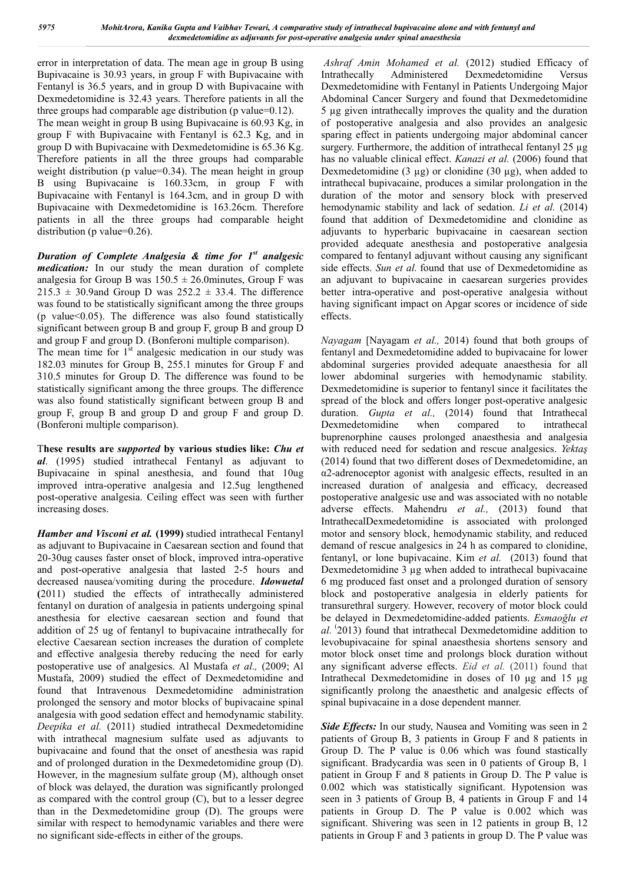error in interpretation of data. The mean age in group B using Bupivacaine is 30.93 years, in group F with Bupivacaine with Fentanyl is 36.5 years, and in group D with Bupivacaine with Dexmedetomidine is 32.43 years. Therefore patients in all the three groups had comparable age distribution (p value=0.12). The mean weight in group B using Bupivacaine is 60.93 Kg, in group F with Bupivacaine with Fentanyl is 62.3 Kg, and in group D with Bupivacaine with Dexmedetomidine is 65.36 Kg. Therefore patients in all the three groups had comparable weight distribution (p value=0.34). The mean height in group B using Bupivacaine is 160.33cm, in group F with Bupivacaine with Fentanyl is 164.3cm, and in group D with Bupivacaine with Dexmedetomidine is 163.26cm. Therefore patients in all the three groups had comparable height distribution (p value=0.26).

*Duration of Complete Analgesia & time for 1st analgesic medication:* In our study the mean duration of complete analgesia for Group B was  $150.5 \pm 26.0$ minutes, Group F was  $215.3 \pm 30.9$  and Group D was  $252.2 \pm 33.4$ . The difference was found to be statistically significant among the three groups (p value $<0.05$ ). The difference was also found statistically significant between group B and group F, group B and group D and group F and group D. (Bonferoni multiple comparison).

The mean time for  $1<sup>st</sup>$  analgesic medication in our study was 182.03 minutes for Group B, 255.1 minutes for Group F and 310.5 minutes for Group D. The difference was found to be statistically significant among the three groups. The difference was also found statistically significant between group B and group F, group B and group D and group F and group D. (Bonferoni multiple comparison).

T**hese results are** *supported* **by various studies like:** *Chu et al*. (1995) studied intrathecal Fentanyl as adjuvant to Bupivacaine in spinal anesthesia, and found that 10ug improved intra-operative analgesia and 12.5ug lengthened post-operative analgesia. Ceiling effect was seen with further increasing doses.

*Hamber and Visconi et al.* **(1999)** studied intrathecal Fentanyl as adjuvant to Bupivacaine in Caesarean section and found that 20-30ug causes faster onset of block, improved intra-operative and post-operative analgesia that lasted 2-5 hours and decreased nausea/vomiting during the procedure. *Idowuetal* **(**2011) studied the effects of intrathecally administered fentanyl on duration of analgesia in patients undergoing spinal anesthesia for elective caesarean section and found that addition of 25 ug of fentanyl to bupivacaine intrathecally for elective Caesarean section increases the duration of complete and effective analgesia thereby reducing the need for early postoperative use of analgesics. Al Mustafa *et al.,* (2009; Al Mustafa, 2009) studied the effect of Dexmedetomidine and found that Intravenous Dexmedetomidine administration prolonged the sensory and motor blocks of bupivacaine spinal analgesia with good sedation effect and hemodynamic stability. *Deepika et al.* (2011) studied intrathecal Dexmedetomidine with intrathecal magnesium sulfate used as adjuvants to bupivacaine and found that the onset of anesthesia was rapid and of prolonged duration in the Dexmedetomidine group (D). However, in the magnesium sulfate group (M), although onset of block was delayed, the duration was significantly prolonged as compared with the control group (C), but to a lesser degree than in the Dexmedetomidine group (D). The groups were similar with respect to hemodynamic variables and there were no significant side-effects in either of the groups.

*Ashraf Amin Mohamed et al.* (2012) studied Efficacy of Intrathecally Administered Dexmedetomidine Versus Dexmedetomidine with Fentanyl in Patients Undergoing Major Abdominal Cancer Surgery and found that Dexmedetomidine 5 µg given intrathecally improves the quality and the duration of postoperative analgesia and also provides an analgesic sparing effect in patients undergoing major abdominal cancer surgery. Furthermore, the addition of intrathecal fentanyl 25 ug has no valuable clinical effect. *Kanazi et al.* (2006) found that Dexmedetomidine  $(3 \mu g)$  or clonidine  $(30 \mu g)$ , when added to intrathecal bupivacaine, produces a similar prolongation in the duration of the motor and sensory block with preserved hemodynamic stability and lack of sedation. *Li et al.* (2014) found that addition of Dexmedetomidine and clonidine as adjuvants to hyperbaric bupivacaine in caesarean section provided adequate anesthesia and postoperative analgesia compared to fentanyl adjuvant without causing any significant side effects. *Sun et al.* found that use of Dexmedetomidine as an adjuvant to bupivacaine in caesarean surgeries provides better intra-operative and post-operative analgesia without having significant impact on Apgar scores or incidence of side effects.

*Nayagam* [Nayagam *et al.,* 2014) found that both groups of fentanyl and Dexmedetomidine added to bupivacaine for lower abdominal surgeries provided adequate anaesthesia for all lower abdominal surgeries with hemodynamic stability. Dexmedetomidine is superior to fentanyl since it facilitates the spread of the block and offers longer post-operative analgesic duration. *Gupta et al.,* (2014) found that Intrathecal Dexmedetomidine when compared to intrathecal buprenorphine causes prolonged anaesthesia and analgesia with reduced need for sedation and rescue analgesics. *Yektaş* (2014) found that two different doses of Dexmedetomidine, an α2-adrenoceptor agonist with analgesic effects, resulted in an increased duration of analgesia and efficacy, decreased postoperative analgesic use and was associated with no notable adverse effects. Mahendru *et al.,* (2013) found that IntrathecalDexmedetomidine is associated with prolonged motor and sensory block, hemodynamic stability, and reduced demand of rescue analgesics in 24 h as compared to clonidine, fentanyl, or lone bupivacaine. Kim *et al.* (2013) found that Dexmedetomidine 3 µg when added to intrathecal bupivacaine 6 mg produced fast onset and a prolonged duration of sensory block and postoperative analgesia in elderly patients for transurethral surgery. However, recovery of motor block could be delayed in Dexmedetomidine-added patients. *Esmaoğlu et al.* ( 2013) found that intrathecal Dexmedetomidine addition to levobupivacaine for spinal anaesthesia shortens sensory and motor block onset time and prolongs block duration without any significant adverse effects. *Eid et al.* (2011) found that Intrathecal Dexmedetomidine in doses of 10 μg and 15 μg significantly prolong the anaesthetic and analgesic effects of spinal bupivacaine in a dose dependent manner.

**Side Effects:** In our study, Nausea and Vomiting was seen in 2 patients of Group B, 3 patients in Group F and 8 patients in Group D. The P value is 0.06 which was found stastically significant. Bradycardia was seen in 0 patients of Group B, 1 patient in Group F and 8 patients in Group D. The P value is 0.002 which was statistically significant. Hypotension was seen in 3 patients of Group B, 4 patients in Group F and 14 patients in Group D. The P value is 0.002 which was significant. Shivering was seen in 12 patients in group B, 12 patients in Group F and 3 patients in group D. The P value was